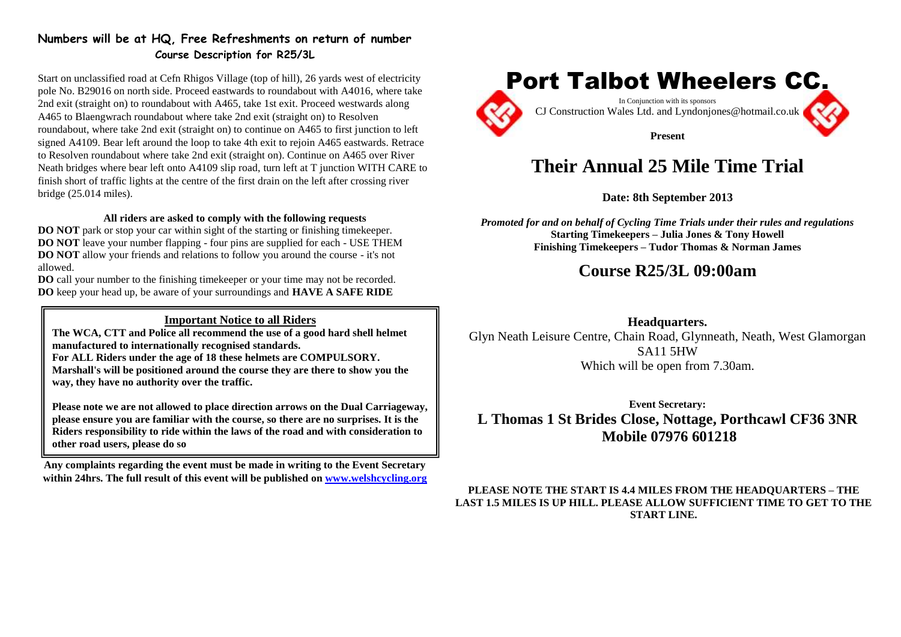### **Numbers will be at HQ, Free Refreshments on return of number Course Description for R25/3L**

Start on unclassified road at Cefn Rhigos Village (top of hill), 26 yards west of electricity pole No. B29016 on north side. Proceed eastwards to roundabout with A4016, where take 2nd exit (straight on) to roundabout with A465, take 1st exit. Proceed westwards along A465 to Blaengwrach roundabout where take 2nd exit (straight on) to Resolven roundabout, where take 2nd exit (straight on) to continue on A465 to first junction to left signed A4109. Bear left around the loop to take 4th exit to rejoin A465 eastwards. Retrace to Resolven roundabout where take 2nd exit (straight on). Continue on A465 over River Neath bridges where bear left onto A4109 slip road, turn left at T junction WITH CARE to finish short of traffic lights at the centre of the first drain on the left after crossing river bridge (25.014 miles).

#### **All riders are asked to comply with the following requests**

**DO NOT** park or stop your car within sight of the starting or finishing timekeeper. **DO NOT** leave your number flapping - four pins are supplied for each - USE THEM **DO NOT** allow your friends and relations to follow you around the course - it's not allowed.

**DO** call your number to the finishing timekeeper or your time may not be recorded. **DO** keep your head up, be aware of your surroundings and **HAVE A SAFE RIDE**

### **Important Notice to all Riders**

**The WCA, CTT and Police all recommend the use of a good hard shell helmet manufactured to internationally recognised standards.**

**For ALL Riders under the age of 18 these helmets are COMPULSORY.**

**Marshall's will be positioned around the course they are there to show you the way, they have no authority over the traffic.** 

**Please note we are not allowed to place direction arrows on the Dual Carriageway, please ensure you are familiar with the course, so there are no surprises. It is the Riders responsibility to ride within the laws of the road and with consideration to other road users, please do so**

**Any complaints regarding the event must be made in writing to the Event Secretary within 24hrs. The full result of this event will be published on [www.welshcycling.org](http://www.welshcycling.org/)**



# **Their Annual 25 Mile Time Trial**

**Date: 8th September 2013**

*Promoted for and on behalf of Cycling Time Trials under their rules and regulations* **Starting Timekeepers – Julia Jones & Tony Howell Finishing Timekeepers – Tudor Thomas & Norman James**

# **Course R25/3L 09:00am**

### **Headquarters.**

Glyn Neath Leisure Centre, Chain Road, Glynneath, Neath, West Glamorgan SA11 5HW Which will be open from 7.30am.

**Event Secretary: L Thomas 1 St Brides Close, Nottage, Porthcawl CF36 3NR Mobile 07976 601218**

**PLEASE NOTE THE START IS 4.4 MILES FROM THE HEADQUARTERS – THE LAST 1.5 MILES IS UP HILL. PLEASE ALLOW SUFFICIENT TIME TO GET TO THE START LINE.**